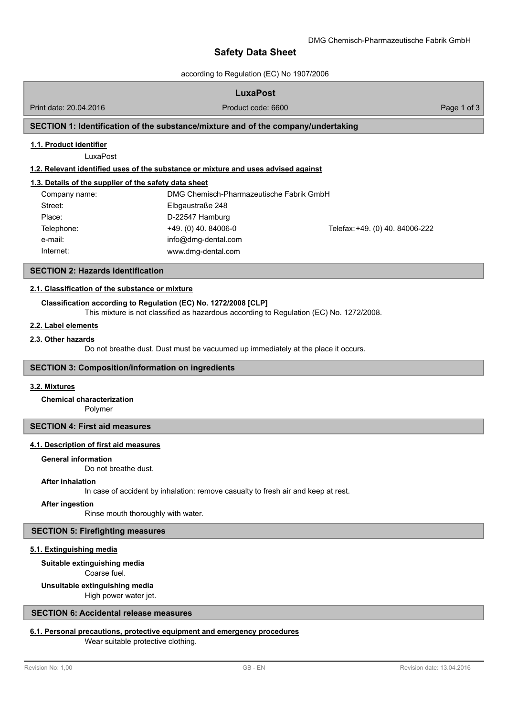# **Safety Data Sheet**

according to Regulation (EC) No 1907/2006

## **LuxaPost**

Print date: 20.04.2016 **Product code: 6600** Page 1 of 3

## **SECTION 1: Identification of the substance/mixture and of the company/undertaking**

### **1.1. Product identifier**

LuxaPost

### **1.2. Relevant identified uses of the substance or mixture and uses advised against**

### **1.3. Details of the supplier of the safety data sheet**

| Company name: | DMG Chemisch-Pharmazeutische Fabrik GmbH |                                 |
|---------------|------------------------------------------|---------------------------------|
| Street:       | Elbgaustraße 248                         |                                 |
| Place:        | D-22547 Hamburg                          |                                 |
| Telephone:    | $+49.$ (0) 40. 84006-0                   | Telefax: +49. (0) 40. 84006-222 |
| e-mail:       | info@dmg-dental.com                      |                                 |
| Internet:     | www.dmg-dental.com                       |                                 |

### **SECTION 2: Hazards identification**

### **2.1. Classification of the substance or [mixture](http://www.dmg-dental.com)**

### **Classification according to Regulation (EC) No. 1272/2008 [CLP]**

This mixture is not classified as hazardous according to Regulation (EC) No. 1272/2008.

## **2.2. Label elements**

#### **2.3. Other hazards**

Do not breathe dust. Dust must be vacuumed up immediately at the place it occurs.

### **SECTION 3: Composition/information on ingredients**

#### **3.2. Mixtures**

Polymer **Chemical characterization**

### **SECTION 4: First aid measures**

## **4.1. Description of first aid measures**

#### **General information**

Do not breathe dust.

#### **After inhalation**

In case of accident by inhalation: remove casualty to fresh air and keep at rest.

#### **After ingestion**

Rinse mouth thoroughly with water.

### **SECTION 5: Firefighting measures**

#### **5.1. Extinguishing media**

#### **Suitable extinguishing media**

Coarse fuel.

## **Unsuitable extinguishing media**

High power water jet.

## **SECTION 6: Accidental release measures**

## **6.1. Personal precautions, protective equipment and emergency procedures**

Wear suitable protective clothing.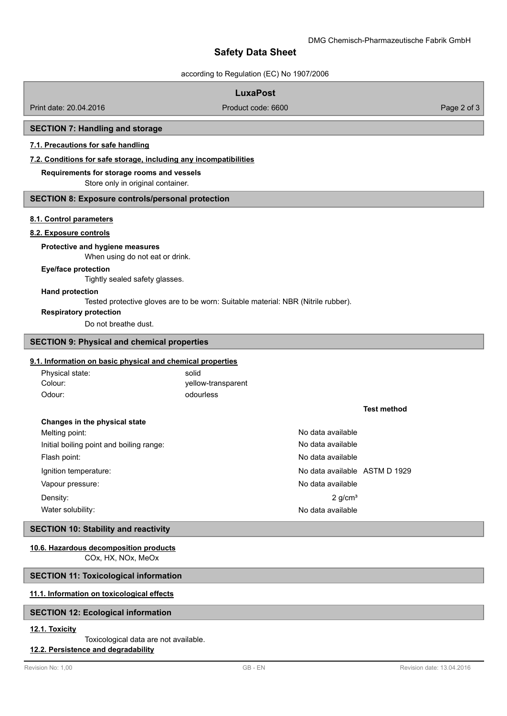# **Safety Data Sheet**

according to Regulation (EC) No 1907/2006

|                                                                   | according to regulation (LO) NO 1507/2000                                         |                               |                    |             |
|-------------------------------------------------------------------|-----------------------------------------------------------------------------------|-------------------------------|--------------------|-------------|
|                                                                   | <b>LuxaPost</b>                                                                   |                               |                    |             |
| Print date: 20.04.2016                                            | Product code: 6600                                                                |                               |                    | Page 2 of 3 |
|                                                                   |                                                                                   |                               |                    |             |
| <b>SECTION 7: Handling and storage</b>                            |                                                                                   |                               |                    |             |
| 7.1. Precautions for safe handling                                |                                                                                   |                               |                    |             |
| 7.2. Conditions for safe storage, including any incompatibilities |                                                                                   |                               |                    |             |
| Requirements for storage rooms and vessels                        |                                                                                   |                               |                    |             |
| Store only in original container.                                 |                                                                                   |                               |                    |             |
| <b>SECTION 8: Exposure controls/personal protection</b>           |                                                                                   |                               |                    |             |
| 8.1. Control parameters                                           |                                                                                   |                               |                    |             |
| 8.2. Exposure controls                                            |                                                                                   |                               |                    |             |
| Protective and hygiene measures                                   |                                                                                   |                               |                    |             |
| When using do not eat or drink.                                   |                                                                                   |                               |                    |             |
| <b>Eye/face protection</b>                                        |                                                                                   |                               |                    |             |
| Tightly sealed safety glasses.                                    |                                                                                   |                               |                    |             |
| <b>Hand protection</b>                                            |                                                                                   |                               |                    |             |
| <b>Respiratory protection</b>                                     | Tested protective gloves are to be worn: Suitable material: NBR (Nitrile rubber). |                               |                    |             |
| Do not breathe dust.                                              |                                                                                   |                               |                    |             |
|                                                                   |                                                                                   |                               |                    |             |
| <b>SECTION 9: Physical and chemical properties</b>                |                                                                                   |                               |                    |             |
| 9.1. Information on basic physical and chemical properties        |                                                                                   |                               |                    |             |
| Physical state:                                                   | solid                                                                             |                               |                    |             |
| Colour:                                                           | yellow-transparent                                                                |                               |                    |             |
| Odour:                                                            | odourless                                                                         |                               |                    |             |
|                                                                   |                                                                                   |                               | <b>Test method</b> |             |
| Changes in the physical state                                     |                                                                                   |                               |                    |             |
| Melting point:                                                    |                                                                                   | No data available             |                    |             |
| Initial boiling point and boiling range:                          |                                                                                   | No data available             |                    |             |
| Flash point:                                                      |                                                                                   | No data available             |                    |             |
| Ignition temperature:                                             |                                                                                   | No data available ASTM D 1929 |                    |             |
| Vapour pressure:                                                  |                                                                                   | No data available             |                    |             |
| Density:                                                          |                                                                                   | $2$ g/cm <sup>3</sup>         |                    |             |
| Water solubility:                                                 |                                                                                   | No data available             |                    |             |
| <b>SECTION 10: Stability and reactivity</b>                       |                                                                                   |                               |                    |             |
| 10.6. Hazardous decomposition products                            |                                                                                   |                               |                    |             |
| COx, HX, NOx, MeOx                                                |                                                                                   |                               |                    |             |
| <b>SECTION 11: Toxicological information</b>                      |                                                                                   |                               |                    |             |

# **11.1. Information on toxicological effects**

# **SECTION 12: Ecological information**

# **12.1. Toxicity**

# Toxicological data are not available.

# **12.2. Persistence and degradability**